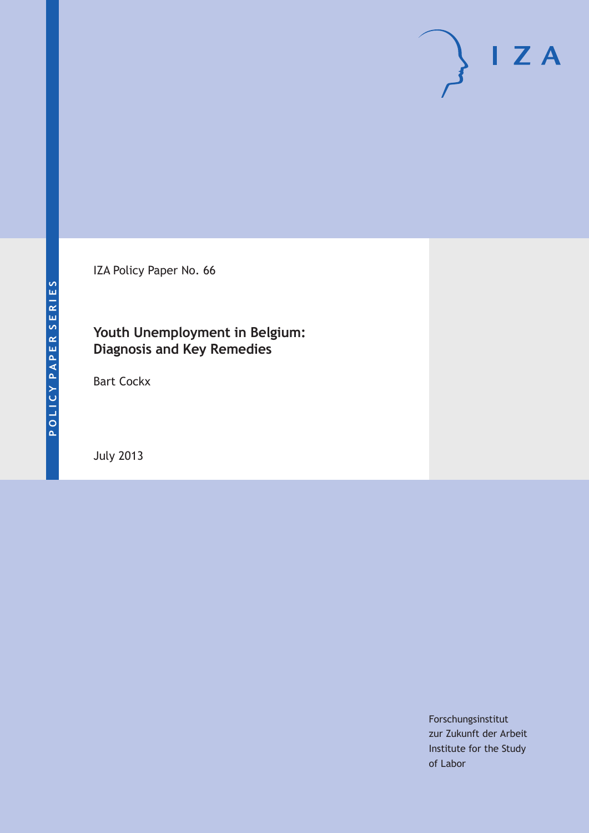IZA Policy Paper No. 66

### **Youth Unemployment in Belgium: Diagnosis and Key Remedies**

Bart Cockx

July 2013

Forschungsinstitut zur Zukunft der Arbeit Institute for the Study of Labor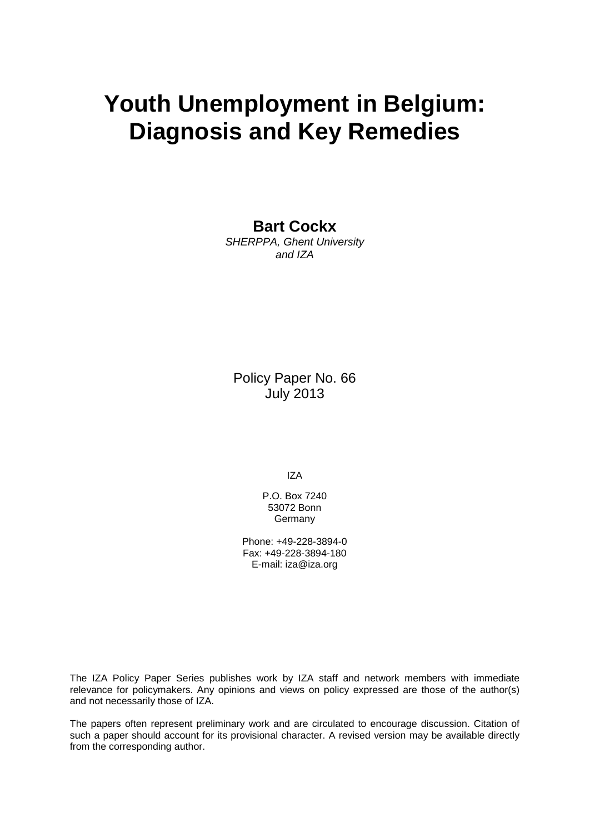# **Youth Unemployment in Belgium: Diagnosis and Key Remedies**

**Bart Cockx**

*SHERPPA, Ghent University and IZA*

Policy Paper No. 66 July 2013

IZA

P.O. Box 7240 53072 Bonn Germany

Phone: +49-228-3894-0 Fax: +49-228-3894-180 E-mail: [iza@iza.org](mailto:iza@iza.org)

The IZA Policy Paper Series publishes work by IZA staff and network members with immediate relevance for policymakers. Any opinions and views on policy expressed are those of the author(s) and not necessarily those of IZA.

The papers often represent preliminary work and are circulated to encourage discussion. Citation of such a paper should account for its provisional character. A revised version may be available directly from the corresponding author.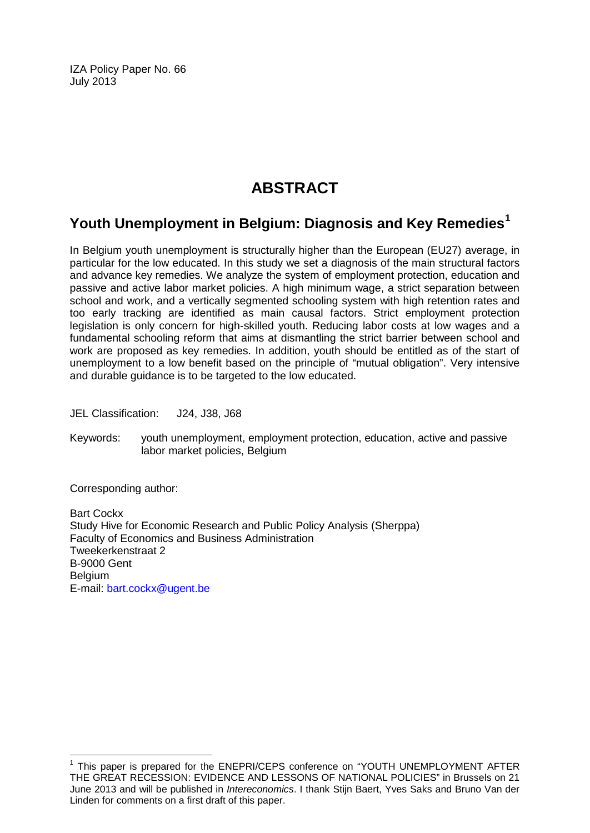IZA Policy Paper No. 66 July 2013

## **ABSTRACT**

### **Youth Unemployment in Belgium: Diagnosis and Key Remedies[1](#page-2-0)**

In Belgium youth unemployment is structurally higher than the European (EU27) average, in particular for the low educated. In this study we set a diagnosis of the main structural factors and advance key remedies. We analyze the system of employment protection, education and passive and active labor market policies. A high minimum wage, a strict separation between school and work, and a vertically segmented schooling system with high retention rates and too early tracking are identified as main causal factors. Strict employment protection legislation is only concern for high-skilled youth. Reducing labor costs at low wages and a fundamental schooling reform that aims at dismantling the strict barrier between school and work are proposed as key remedies. In addition, youth should be entitled as of the start of unemployment to a low benefit based on the principle of "mutual obligation". Very intensive and durable guidance is to be targeted to the low educated.

JEL Classification: J24, J38, J68

Keywords: youth unemployment, employment protection, education, active and passive labor market policies, Belgium

Corresponding author:

Bart Cockx Study Hive for Economic Research and Public Policy Analysis (Sherppa) Faculty of Economics and Business Administration Tweekerkenstraat 2 B-9000 Gent Belgium E-mail: [bart.cockx@ugent.be](mailto:bart.cockx@ugent.be)

<span id="page-2-0"></span><sup>1</sup> This paper is prepared for the ENEPRI/CEPS conference on "YOUTH UNEMPLOYMENT AFTER THE GREAT RECESSION: EVIDENCE AND LESSONS OF NATIONAL POLICIES" in Brussels on 21 June 2013 and will be published in *Intereconomics*. I thank Stijn Baert, Yves Saks and Bruno Van der Linden for comments on a first draft of this paper.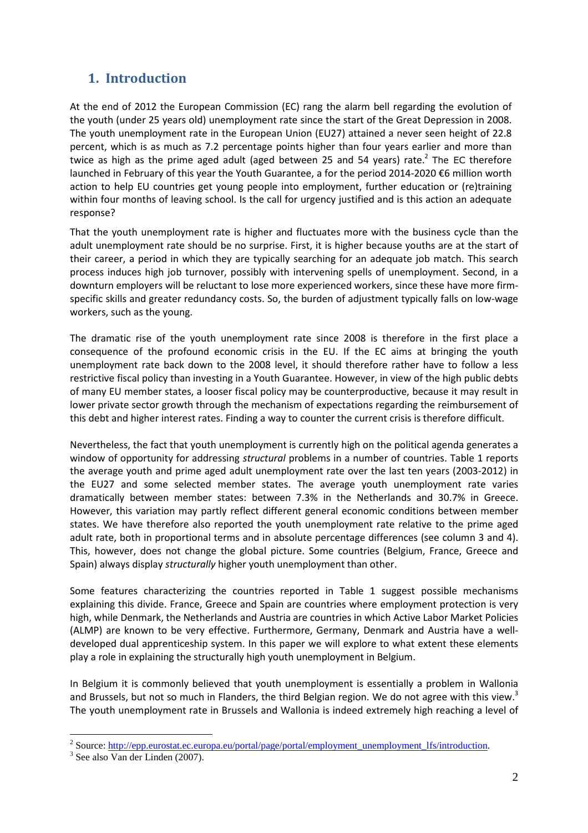### **1. Introduction**

At the end of 2012 the European Commission (EC) rang the alarm bell regarding the evolution of the youth (under 25 years old) unemployment rate since the start of the Great Depression in 2008. The youth unemployment rate in the European Union (EU27) attained a never seen height of 22.8 percent, which is as much as 7.2 percentage points higher than four years earlier and more than twice as high as the prime aged adult (aged between 25 and 54 years) rate. $^2$  The EC therefore launched in February of this year the Youth Guarantee, a for the period 2014-2020 €6 million worth action to help EU countries get young people into employment, further education or (re)training within four months of leaving school. Is the call for urgency justified and is this action an adequate response?

That the youth unemployment rate is higher and fluctuates more with the business cycle than the adult unemployment rate should be no surprise. First, it is higher because youths are at the start of their career, a period in which they are typically searching for an adequate job match. This search process induces high job turnover, possibly with intervening spells of unemployment. Second, in a downturn employers will be reluctant to lose more experienced workers, since these have more firmspecific skills and greater redundancy costs. So, the burden of adjustment typically falls on low-wage workers, such as the young.

The dramatic rise of the youth unemployment rate since 2008 is therefore in the first place a consequence of the profound economic crisis in the EU. If the EC aims at bringing the youth unemployment rate back down to the 2008 level, it should therefore rather have to follow a less restrictive fiscal policy than investing in a Youth Guarantee. However, in view of the high public debts of many EU member states, a looser fiscal policy may be counterproductive, because it may result in lower private sector growth through the mechanism of expectations regarding the reimbursement of this debt and higher interest rates. Finding a way to counter the current crisis is therefore difficult.

Nevertheless, the fact that youth unemployment is currently high on the political agenda generates a window of opportunity for addressing *structural* problems in a number of countries. Table 1 reports the average youth and prime aged adult unemployment rate over the last ten years (2003-2012) in the EU27 and some selected member states. The average youth unemployment rate varies dramatically between member states: between 7.3% in the Netherlands and 30.7% in Greece. However, this variation may partly reflect different general economic conditions between member states. We have therefore also reported the youth unemployment rate relative to the prime aged adult rate, both in proportional terms and in absolute percentage differences (see column 3 and 4). This, however, does not change the global picture. Some countries (Belgium, France, Greece and Spain) always display *structurally* higher youth unemployment than other.

Some features characterizing the countries reported in Table 1 suggest possible mechanisms explaining this divide. France, Greece and Spain are countries where employment protection is very high, while Denmark, the Netherlands and Austria are countries in which Active Labor Market Policies (ALMP) are known to be very effective. Furthermore, Germany, Denmark and Austria have a welldeveloped dual apprenticeship system. In this paper we will explore to what extent these elements play a role in explaining the structurally high youth unemployment in Belgium.

In Belgium it is commonly believed that youth unemployment is essentially a problem in Wallonia and Brussels, but not so much in Flanders, the third Belgian region. We do not agree with this view.<sup>3</sup> The youth unemployment rate in Brussels and Wallonia is indeed extremely high reaching a level of

<sup>&</sup>lt;sup>2</sup> Source: http://epp.eurostat.ec.europa.eu/portal/page/portal/employment\_unemployment\_lfs/introduction.

<sup>3</sup> See also Van der Linden (2007).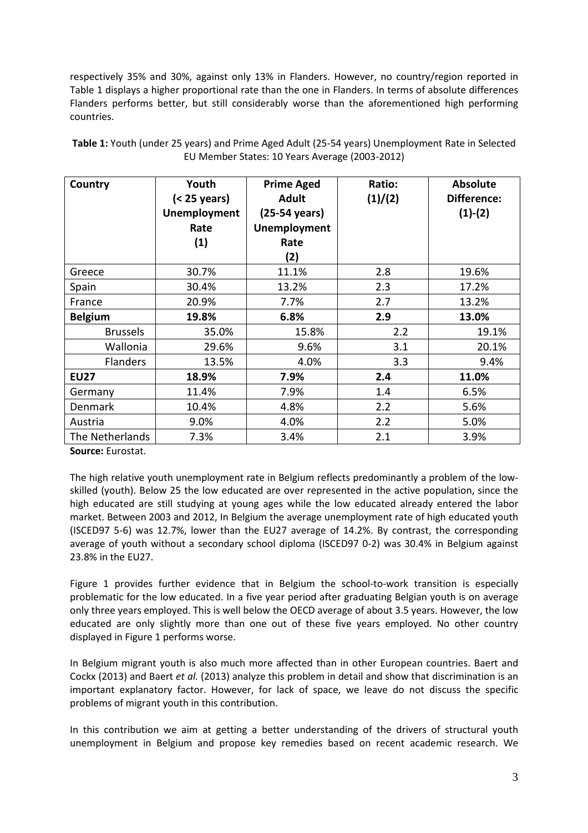respectively 35% and 30%, against only 13% in Flanders. However, no country/region reported in Table 1 displays a higher proportional rate than the one in Flanders. In terms of absolute differences Flanders performs better, but still considerably worse than the aforementioned high performing countries.

| Country         | Youth<br>$(25 years)$<br><b>Unemployment</b><br>Rate<br>(1) | <b>Prime Aged</b><br><b>Adult</b><br>(25-54 years)<br><b>Unemployment</b><br>Rate | Ratio:<br>(1)/(2) | <b>Absolute</b><br>Difference:<br>$(1)-(2)$ |
|-----------------|-------------------------------------------------------------|-----------------------------------------------------------------------------------|-------------------|---------------------------------------------|
|                 |                                                             | (2)                                                                               |                   |                                             |
| Greece          | 30.7%                                                       | 11.1%                                                                             | 2.8               | 19.6%                                       |
| Spain           | 30.4%                                                       | 13.2%                                                                             | 2.3               | 17.2%                                       |
| France          | 20.9%                                                       | 7.7%                                                                              | 2.7               | 13.2%                                       |
| <b>Belgium</b>  | 19.8%                                                       | 6.8%                                                                              | 2.9               | 13.0%                                       |
| <b>Brussels</b> | 35.0%                                                       | 15.8%                                                                             | 2.2               | 19.1%                                       |
| Wallonia        | 29.6%                                                       | 9.6%                                                                              | 3.1               | 20.1%                                       |
| <b>Flanders</b> | 13.5%                                                       | 4.0%                                                                              | 3.3               | 9.4%                                        |
| <b>EU27</b>     | 18.9%                                                       | 7.9%                                                                              | 2.4               | 11.0%                                       |
| Germany         | 11.4%                                                       | 7.9%                                                                              | 1.4               | 6.5%                                        |
| Denmark         | 10.4%                                                       | 4.8%                                                                              | 2.2               | 5.6%                                        |
| Austria         | 9.0%                                                        | 4.0%                                                                              | 2.2               | 5.0%                                        |
| The Netherlands | 7.3%                                                        | 3.4%                                                                              | 2.1               | 3.9%                                        |

**Table 1:** Youth (under 25 years) and Prime Aged Adult (25-54 years) Unemployment Rate in Selected EU Member States: 10 Years Average (2003-2012)

**Source:** Eurostat.

The high relative youth unemployment rate in Belgium reflects predominantly a problem of the lowskilled (youth). Below 25 the low educated are over represented in the active population, since the high educated are still studying at young ages while the low educated already entered the labor market. Between 2003 and 2012, In Belgium the average unemployment rate of high educated youth (ISCED97 5-6) was 12.7%, lower than the EU27 average of 14.2%. By contrast, the corresponding average of youth without a secondary school diploma (ISCED97 0-2) was 30.4% in Belgium against 23.8% in the EU27.

Figure 1 provides further evidence that in Belgium the school-to-work transition is especially problematic for the low educated. In a five year period after graduating Belgian youth is on average only three years employed. This is well below the OECD average of about 3.5 years. However, the low educated are only slightly more than one out of these five years employed. No other country displayed in Figure 1 performs worse.

In Belgium migrant youth is also much more affected than in other European countries. Baert and Cockx (2013) and Baert *et al.* (2013) analyze this problem in detail and show that discrimination is an important explanatory factor. However, for lack of space, we leave do not discuss the specific problems of migrant youth in this contribution.

In this contribution we aim at getting a better understanding of the drivers of structural youth unemployment in Belgium and propose key remedies based on recent academic research. We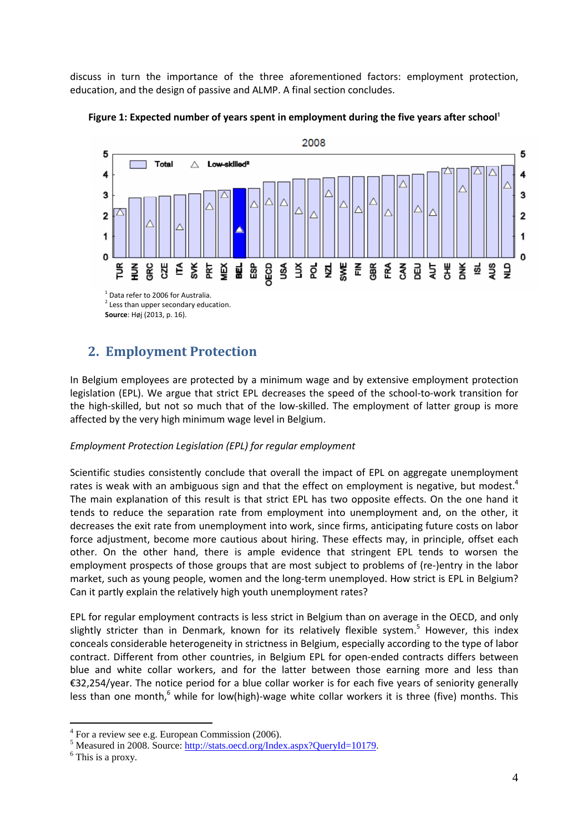discuss in turn the importance of the three aforementioned factors: employment protection, education, and the design of passive and ALMP. A final section concludes.





### **2. Employment Protection**

In Belgium employees are protected by a minimum wage and by extensive employment protection legislation (EPL). We argue that strict EPL decreases the speed of the school-to-work transition for the high-skilled, but not so much that of the low-skilled. The employment of latter group is more affected by the very high minimum wage level in Belgium.

#### *Employment Protection Legislation (EPL) for regular employment*

Scientific studies consistently conclude that overall the impact of EPL on aggregate unemployment rates is weak with an ambiguous sign and that the effect on employment is negative, but modest.<sup>4</sup> The main explanation of this result is that strict EPL has two opposite effects. On the one hand it tends to reduce the separation rate from employment into unemployment and, on the other, it decreases the exit rate from unemployment into work, since firms, anticipating future costs on labor force adjustment, become more cautious about hiring. These effects may, in principle, offset each other. On the other hand, there is ample evidence that stringent EPL tends to worsen the employment prospects of those groups that are most subject to problems of (re-)entry in the labor market, such as young people, women and the long-term unemployed. How strict is EPL in Belgium? Can it partly explain the relatively high youth unemployment rates?

EPL for regular employment contracts is less strict in Belgium than on average in the OECD, and only slightly stricter than in Denmark, known for its relatively flexible system.<sup>5</sup> However, this index conceals considerable heterogeneity in strictness in Belgium, especially according to the type of labor contract. Different from other countries, in Belgium EPL for open-ended contracts differs between blue and white collar workers, and for the latter between those earning more and less than €32,254/year. The notice period for a blue collar worker is for each five years of seniority generally less than one month,<sup>6</sup> while for low(high)-wage white collar workers it is three (five) months. This

<sup>&</sup>lt;sup>4</sup> For a review see e.g. European Commission (2006).

<sup>&</sup>lt;sup>5</sup> Measured in 2008. Source: http://stats.oecd.org/Index.aspx?QueryId=10179.

<sup>&</sup>lt;sup>6</sup> This is a proxy.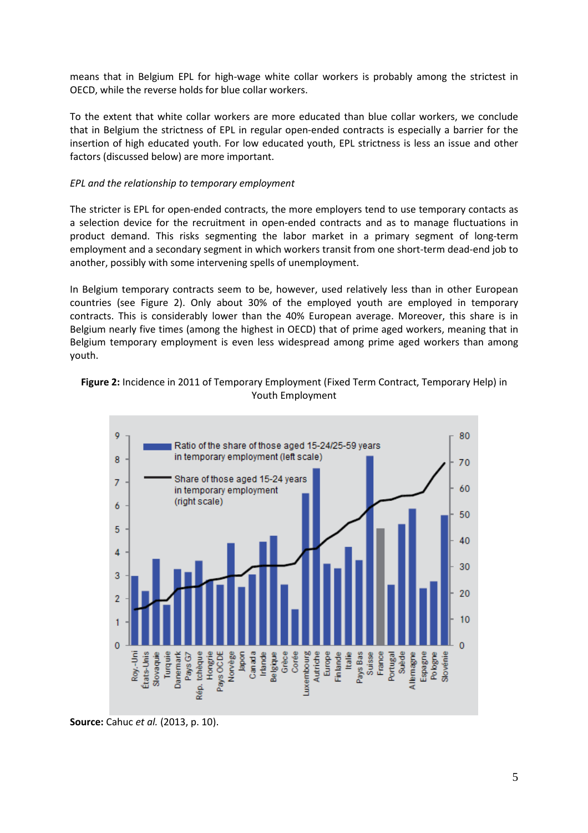means that in Belgium EPL for high-wage white collar workers is probably among the strictest in OECD, while the reverse holds for blue collar workers.

To the extent that white collar workers are more educated than blue collar workers, we conclude that in Belgium the strictness of EPL in regular open-ended contracts is especially a barrier for the insertion of high educated youth. For low educated youth, EPL strictness is less an issue and other factors (discussed below) are more important.

### *EPL and the relationship to temporary employment*

The stricter is EPL for open-ended contracts, the more employers tend to use temporary contacts as a selection device for the recruitment in open-ended contracts and as to manage fluctuations in product demand. This risks segmenting the labor market in a primary segment of long-term employment and a secondary segment in which workers transit from one short-term dead-end job to another, possibly with some intervening spells of unemployment.

In Belgium temporary contracts seem to be, however, used relatively less than in other European countries (see Figure 2). Only about 30% of the employed youth are employed in temporary contracts. This is considerably lower than the 40% European average. Moreover, this share is in Belgium nearly five times (among the highest in OECD) that of prime aged workers, meaning that in Belgium temporary employment is even less widespread among prime aged workers than among youth.

### **Figure 2:** Incidence in 2011 of Temporary Employment (Fixed Term Contract, Temporary Help) in Youth Employment



**Source:** Cahuc *et al.* (2013, p. 10).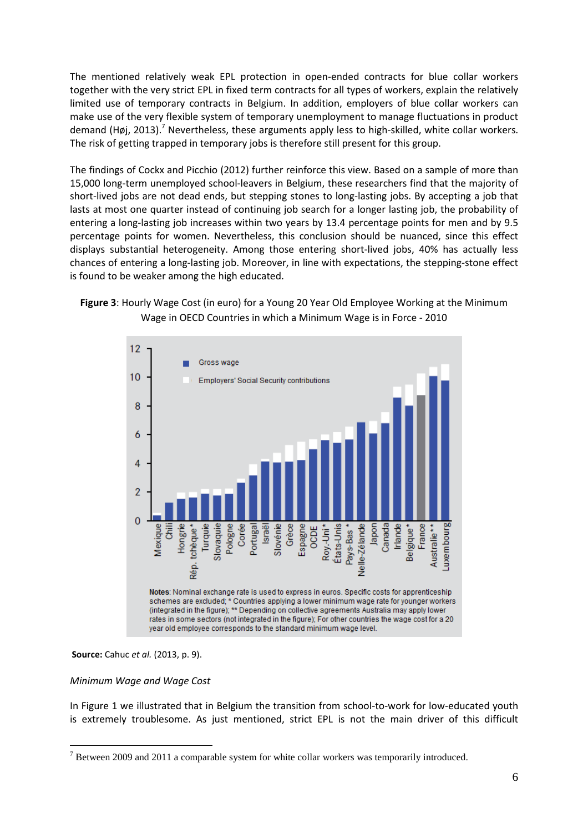The mentioned relatively weak EPL protection in open-ended contracts for blue collar workers together with the very strict EPL in fixed term contracts for all types of workers, explain the relatively limited use of temporary contracts in Belgium. In addition, employers of blue collar workers can make use of the very flexible system of temporary unemployment to manage fluctuations in product demand (Høj, 2013).<sup>7</sup> Nevertheless, these arguments apply less to high-skilled, white collar workers. The risk of getting trapped in temporary jobs is therefore still present for this group.

The findings of Cockx and Picchio (2012) further reinforce this view. Based on a sample of more than 15,000 long-term unemployed school-leavers in Belgium, these researchers find that the majority of short-lived jobs are not dead ends, but stepping stones to long-lasting jobs. By accepting a job that lasts at most one quarter instead of continuing job search for a longer lasting job, the probability of entering a long-lasting job increases within two years by 13.4 percentage points for men and by 9.5 percentage points for women. Nevertheless, this conclusion should be nuanced, since this effect displays substantial heterogeneity. Among those entering short-lived jobs, 40% has actually less chances of entering a long-lasting job. Moreover, in line with expectations, the stepping-stone effect is found to be weaker among the high educated.





#### **Source:** Cahuc *et al.* (2013, p. 9).

#### *Minimum Wage and Wage Cost*

 $\overline{a}$ 

In Figure 1 we illustrated that in Belgium the transition from school-to-work for low-educated youth is extremely troublesome. As just mentioned, strict EPL is not the main driver of this difficult

 $7$  Between 2009 and 2011 a comparable system for white collar workers was temporarily introduced.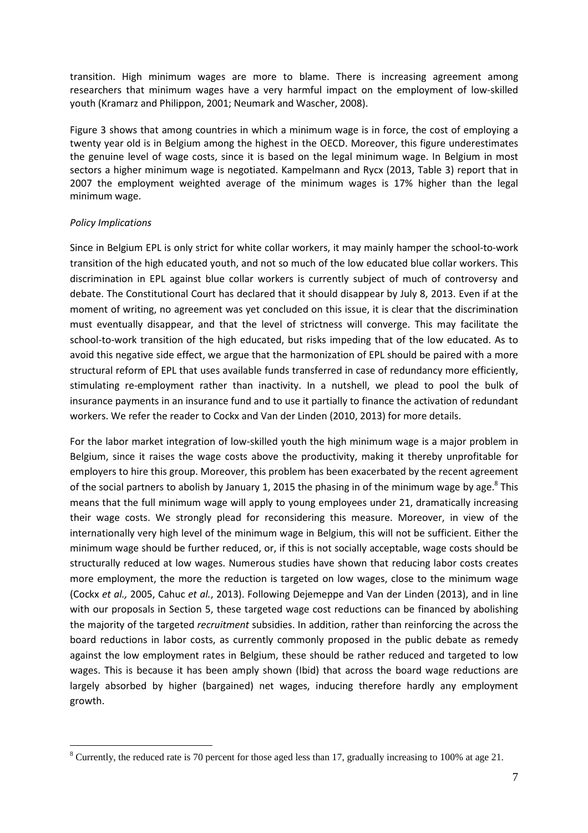transition. High minimum wages are more to blame. There is increasing agreement among researchers that minimum wages have a very harmful impact on the employment of low-skilled youth (Kramarz and Philippon, 2001; Neumark and Wascher, 2008).

Figure 3 shows that among countries in which a minimum wage is in force, the cost of employing a twenty year old is in Belgium among the highest in the OECD. Moreover, this figure underestimates the genuine level of wage costs, since it is based on the legal minimum wage. In Belgium in most sectors a higher minimum wage is negotiated. Kampelmann and Rycx (2013, Table 3) report that in 2007 the employment weighted average of the minimum wages is 17% higher than the legal minimum wage.

### *Policy Implications*

 $\overline{a}$ 

Since in Belgium EPL is only strict for white collar workers, it may mainly hamper the school-to-work transition of the high educated youth, and not so much of the low educated blue collar workers. This discrimination in EPL against blue collar workers is currently subject of much of controversy and debate. The Constitutional Court has declared that it should disappear by July 8, 2013. Even if at the moment of writing, no agreement was yet concluded on this issue, it is clear that the discrimination must eventually disappear, and that the level of strictness will converge. This may facilitate the school-to-work transition of the high educated, but risks impeding that of the low educated. As to avoid this negative side effect, we argue that the harmonization of EPL should be paired with a more structural reform of EPL that uses available funds transferred in case of redundancy more efficiently, stimulating re-employment rather than inactivity. In a nutshell, we plead to pool the bulk of insurance payments in an insurance fund and to use it partially to finance the activation of redundant workers. We refer the reader to Cockx and Van der Linden (2010, 2013) for more details.

For the labor market integration of low-skilled youth the high minimum wage is a major problem in Belgium, since it raises the wage costs above the productivity, making it thereby unprofitable for employers to hire this group. Moreover, this problem has been exacerbated by the recent agreement of the social partners to abolish by January 1, 2015 the phasing in of the minimum wage by age. $8$  This means that the full minimum wage will apply to young employees under 21, dramatically increasing their wage costs. We strongly plead for reconsidering this measure. Moreover, in view of the internationally very high level of the minimum wage in Belgium, this will not be sufficient. Either the minimum wage should be further reduced, or, if this is not socially acceptable, wage costs should be structurally reduced at low wages. Numerous studies have shown that reducing labor costs creates more employment, the more the reduction is targeted on low wages, close to the minimum wage (Cockx *et al.,* 2005, Cahuc *et al.*, 2013). Following Dejemeppe and Van der Linden (2013), and in line with our proposals in Section 5, these targeted wage cost reductions can be financed by abolishing the majority of the targeted *recruitment* subsidies. In addition, rather than reinforcing the across the board reductions in labor costs, as currently commonly proposed in the public debate as remedy against the low employment rates in Belgium, these should be rather reduced and targeted to low wages. This is because it has been amply shown (Ibid) that across the board wage reductions are largely absorbed by higher (bargained) net wages, inducing therefore hardly any employment growth.

 $8$  Currently, the reduced rate is 70 percent for those aged less than 17, gradually increasing to 100% at age 21.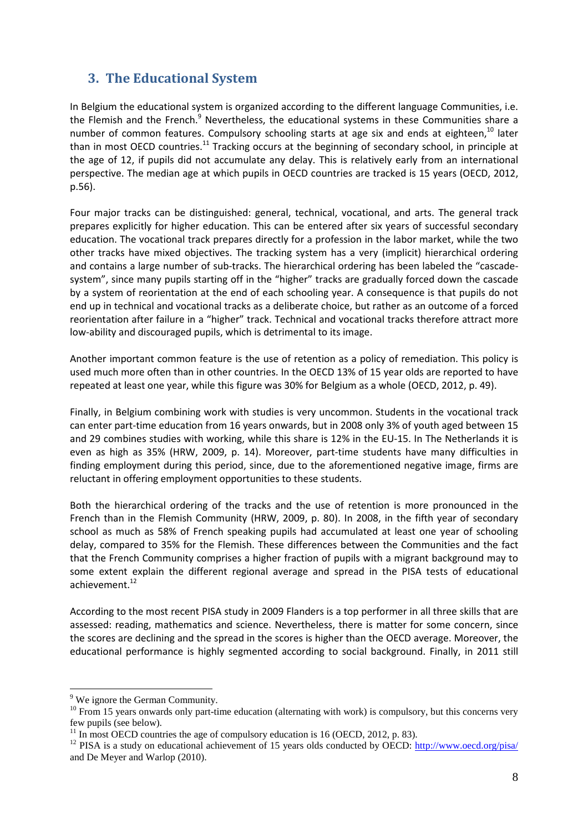### **3. The Educational System**

In Belgium the educational system is organized according to the different language Communities, i.e. the Flemish and the French.<sup>9</sup> Nevertheless, the educational systems in these Communities share a number of common features. Compulsory schooling starts at age six and ends at eighteen.<sup>10</sup> later than in most OECD countries.<sup>11</sup> Tracking occurs at the beginning of secondary school, in principle at the age of 12, if pupils did not accumulate any delay. This is relatively early from an international perspective. The median age at which pupils in OECD countries are tracked is 15 years (OECD, 2012, p.56).

Four major tracks can be distinguished: general, technical, vocational, and arts. The general track prepares explicitly for higher education. This can be entered after six years of successful secondary education. The vocational track prepares directly for a profession in the labor market, while the two other tracks have mixed objectives. The tracking system has a very (implicit) hierarchical ordering and contains a large number of sub-tracks. The hierarchical ordering has been labeled the "cascadesystem", since many pupils starting off in the "higher" tracks are gradually forced down the cascade by a system of reorientation at the end of each schooling year. A consequence is that pupils do not end up in technical and vocational tracks as a deliberate choice, but rather as an outcome of a forced reorientation after failure in a "higher" track. Technical and vocational tracks therefore attract more low-ability and discouraged pupils, which is detrimental to its image.

Another important common feature is the use of retention as a policy of remediation. This policy is used much more often than in other countries. In the OECD 13% of 15 year olds are reported to have repeated at least one year, while this figure was 30% for Belgium as a whole (OECD, 2012, p. 49).

Finally, in Belgium combining work with studies is very uncommon. Students in the vocational track can enter part-time education from 16 years onwards, but in 2008 only 3% of youth aged between 15 and 29 combines studies with working, while this share is 12% in the EU-15. In The Netherlands it is even as high as 35% (HRW, 2009, p. 14). Moreover, part-time students have many difficulties in finding employment during this period, since, due to the aforementioned negative image, firms are reluctant in offering employment opportunities to these students.

Both the hierarchical ordering of the tracks and the use of retention is more pronounced in the French than in the Flemish Community (HRW, 2009, p. 80). In 2008, in the fifth year of secondary school as much as 58% of French speaking pupils had accumulated at least one year of schooling delay, compared to 35% for the Flemish. These differences between the Communities and the fact that the French Community comprises a higher fraction of pupils with a migrant background may to some extent explain the different regional average and spread in the PISA tests of educational achievement.<sup>12</sup>

According to the most recent PISA study in 2009 Flanders is a top performer in all three skills that are assessed: reading, mathematics and science. Nevertheless, there is matter for some concern, since the scores are declining and the spread in the scores is higher than the OECD average. Moreover, the educational performance is highly segmented according to social background. Finally, in 2011 still

<sup>&</sup>lt;sup>9</sup> We ignore the German Community.

 $10$  From 15 years onwards only part-time education (alternating with work) is compulsory, but this concerns very few pupils (see below).

 $11$  In most OECD countries the age of compulsory education is 16 (OECD, 2012, p. 83).

<sup>&</sup>lt;sup>12</sup> PISA is a study on educational achievement of 15 years olds conducted by OECD: http://www.oecd.org/pisa/ and De Meyer and Warlop (2010).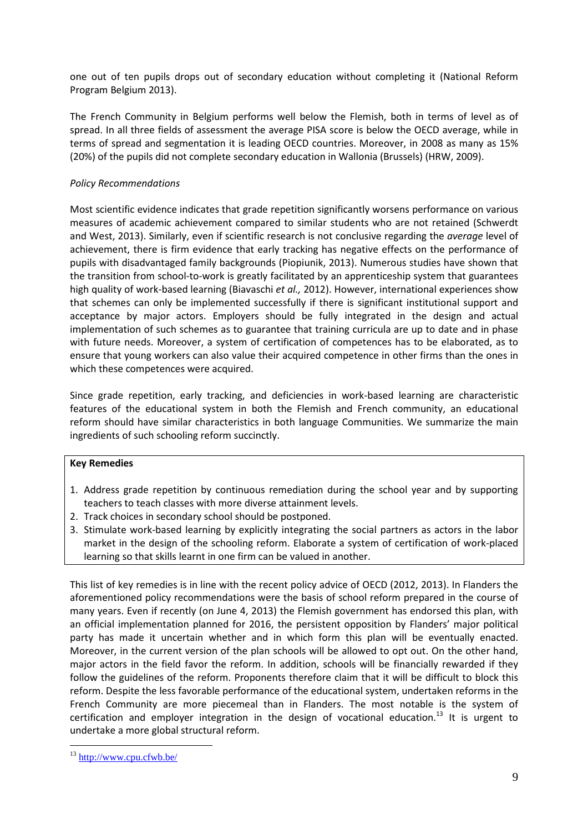one out of ten pupils drops out of secondary education without completing it (National Reform Program Belgium 2013).

The French Community in Belgium performs well below the Flemish, both in terms of level as of spread. In all three fields of assessment the average PISA score is below the OECD average, while in terms of spread and segmentation it is leading OECD countries. Moreover, in 2008 as many as 15% (20%) of the pupils did not complete secondary education in Wallonia (Brussels) (HRW, 2009).

### *Policy Recommendations*

Most scientific evidence indicates that grade repetition significantly worsens performance on various measures of academic achievement compared to similar students who are not retained (Schwerdt and West, 2013). Similarly, even if scientific research is not conclusive regarding the *average* level of achievement, there is firm evidence that early tracking has negative effects on the performance of pupils with disadvantaged family backgrounds (Piopiunik, 2013). Numerous studies have shown that the transition from school-to-work is greatly facilitated by an apprenticeship system that guarantees high quality of work-based learning (Biavaschi *et al.,* 2012). However, international experiences show that schemes can only be implemented successfully if there is significant institutional support and acceptance by major actors. Employers should be fully integrated in the design and actual implementation of such schemes as to guarantee that training curricula are up to date and in phase with future needs. Moreover, a system of certification of competences has to be elaborated, as to ensure that young workers can also value their acquired competence in other firms than the ones in which these competences were acquired.

Since grade repetition, early tracking, and deficiencies in work-based learning are characteristic features of the educational system in both the Flemish and French community, an educational reform should have similar characteristics in both language Communities. We summarize the main ingredients of such schooling reform succinctly.

### **Key Remedies**

- 1. Address grade repetition by continuous remediation during the school year and by supporting teachers to teach classes with more diverse attainment levels.
- 2. Track choices in secondary school should be postponed.
- 3. Stimulate work-based learning by explicitly integrating the social partners as actors in the labor market in the design of the schooling reform. Elaborate a system of certification of work-placed learning so that skills learnt in one firm can be valued in another.

This list of key remedies is in line with the recent policy advice of OECD (2012, 2013). In Flanders the aforementioned policy recommendations were the basis of school reform prepared in the course of many years. Even if recently (on June 4, 2013) the Flemish government has endorsed this plan, with an official implementation planned for 2016, the persistent opposition by Flanders' major political party has made it uncertain whether and in which form this plan will be eventually enacted. Moreover, in the current version of the plan schools will be allowed to opt out. On the other hand, major actors in the field favor the reform. In addition, schools will be financially rewarded if they follow the guidelines of the reform. Proponents therefore claim that it will be difficult to block this reform. Despite the less favorable performance of the educational system, undertaken reforms in the French Community are more piecemeal than in Flanders. The most notable is the system of certification and employer integration in the design of vocational education.<sup>13</sup> It is urgent to undertake a more global structural reform.

<sup>13</sup> http://www.cpu.cfwb.be/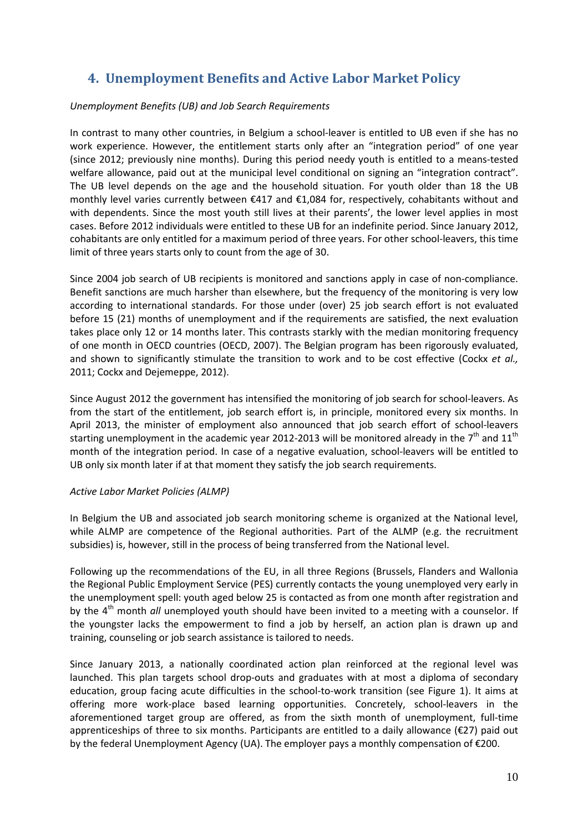### **4. Unemployment Benefits and Active Labor Market Policy**

### *Unemployment Benefits (UB) and Job Search Requirements*

In contrast to many other countries, in Belgium a school-leaver is entitled to UB even if she has no work experience. However, the entitlement starts only after an "integration period" of one year (since 2012; previously nine months). During this period needy youth is entitled to a means-tested welfare allowance, paid out at the municipal level conditional on signing an "integration contract". The UB level depends on the age and the household situation. For youth older than 18 the UB monthly level varies currently between €417 and €1,084 for, respectively, cohabitants without and with dependents. Since the most youth still lives at their parents', the lower level applies in most cases. Before 2012 individuals were entitled to these UB for an indefinite period. Since January 2012, cohabitants are only entitled for a maximum period of three years. For other school-leavers, this time limit of three years starts only to count from the age of 30.

Since 2004 job search of UB recipients is monitored and sanctions apply in case of non-compliance. Benefit sanctions are much harsher than elsewhere, but the frequency of the monitoring is very low according to international standards. For those under (over) 25 job search effort is not evaluated before 15 (21) months of unemployment and if the requirements are satisfied, the next evaluation takes place only 12 or 14 months later. This contrasts starkly with the median monitoring frequency of one month in OECD countries (OECD, 2007). The Belgian program has been rigorously evaluated, and shown to significantly stimulate the transition to work and to be cost effective (Cockx *et al.,*  2011; Cockx and Dejemeppe, 2012).

Since August 2012 the government has intensified the monitoring of job search for school-leavers. As from the start of the entitlement, job search effort is, in principle, monitored every six months. In April 2013, the minister of employment also announced that job search effort of school-leavers starting unemployment in the academic year 2012-2013 will be monitored already in the  $7<sup>th</sup>$  and 11<sup>th</sup> month of the integration period. In case of a negative evaluation, school-leavers will be entitled to UB only six month later if at that moment they satisfy the job search requirements.

#### *Active Labor Market Policies (ALMP)*

In Belgium the UB and associated job search monitoring scheme is organized at the National level, while ALMP are competence of the Regional authorities. Part of the ALMP (e.g. the recruitment subsidies) is, however, still in the process of being transferred from the National level.

Following up the recommendations of the EU, in all three Regions (Brussels, Flanders and Wallonia the Regional Public Employment Service (PES) currently contacts the young unemployed very early in the unemployment spell: youth aged below 25 is contacted as from one month after registration and by the 4<sup>th</sup> month *all* unemployed youth should have been invited to a meeting with a counselor. If the youngster lacks the empowerment to find a job by herself, an action plan is drawn up and training, counseling or job search assistance is tailored to needs.

Since January 2013, a nationally coordinated action plan reinforced at the regional level was launched. This plan targets school drop-outs and graduates with at most a diploma of secondary education, group facing acute difficulties in the school-to-work transition (see Figure 1). It aims at offering more work-place based learning opportunities. Concretely, school-leavers in the aforementioned target group are offered, as from the sixth month of unemployment, full-time apprenticeships of three to six months. Participants are entitled to a daily allowance (€27) paid out by the federal Unemployment Agency (UA). The employer pays a monthly compensation of €200.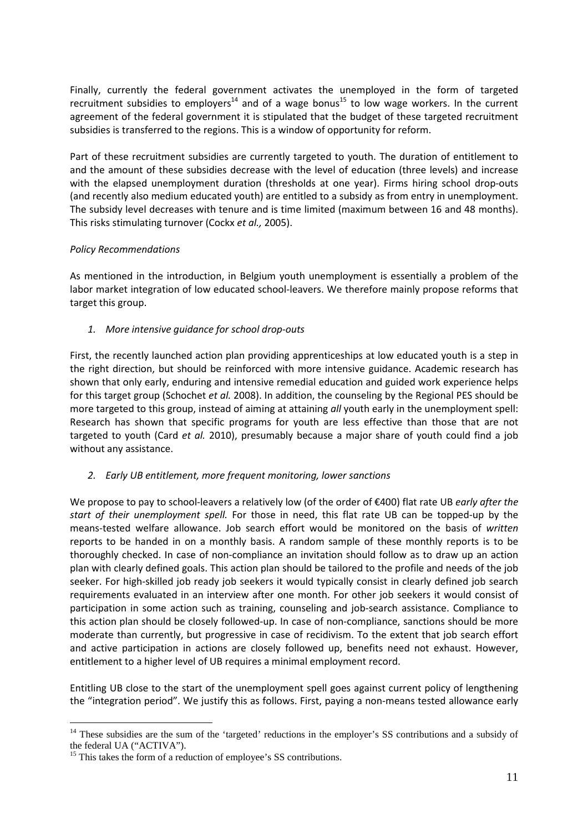Finally, currently the federal government activates the unemployed in the form of targeted recruitment subsidies to employers<sup>14</sup> and of a wage bonus<sup>15</sup> to low wage workers. In the current agreement of the federal government it is stipulated that the budget of these targeted recruitment subsidies is transferred to the regions. This is a window of opportunity for reform.

Part of these recruitment subsidies are currently targeted to youth. The duration of entitlement to and the amount of these subsidies decrease with the level of education (three levels) and increase with the elapsed unemployment duration (thresholds at one year). Firms hiring school drop-outs (and recently also medium educated youth) are entitled to a subsidy as from entry in unemployment. The subsidy level decreases with tenure and is time limited (maximum between 16 and 48 months). This risks stimulating turnover (Cockx *et al.,* 2005).

### *Policy Recommendations*

As mentioned in the introduction, in Belgium youth unemployment is essentially a problem of the labor market integration of low educated school-leavers. We therefore mainly propose reforms that target this group.

*1. More intensive guidance for school drop-outs* 

First, the recently launched action plan providing apprenticeships at low educated youth is a step in the right direction, but should be reinforced with more intensive guidance. Academic research has shown that only early, enduring and intensive remedial education and guided work experience helps for this target group (Schochet *et al.* 2008). In addition, the counseling by the Regional PES should be more targeted to this group, instead of aiming at attaining *all* youth early in the unemployment spell: Research has shown that specific programs for youth are less effective than those that are not targeted to youth (Card *et al.* 2010), presumably because a major share of youth could find a job without any assistance.

### *2. Early UB entitlement, more frequent monitoring, lower sanctions*

We propose to pay to school-leavers a relatively low (of the order of €400) flat rate UB *early after the start of their unemployment spell.* For those in need, this flat rate UB can be topped-up by the means-tested welfare allowance. Job search effort would be monitored on the basis of *written* reports to be handed in on a monthly basis. A random sample of these monthly reports is to be thoroughly checked. In case of non-compliance an invitation should follow as to draw up an action plan with clearly defined goals. This action plan should be tailored to the profile and needs of the job seeker. For high-skilled job ready job seekers it would typically consist in clearly defined job search requirements evaluated in an interview after one month. For other job seekers it would consist of participation in some action such as training, counseling and job-search assistance. Compliance to this action plan should be closely followed-up. In case of non-compliance, sanctions should be more moderate than currently, but progressive in case of recidivism. To the extent that job search effort and active participation in actions are closely followed up, benefits need not exhaust. However, entitlement to a higher level of UB requires a minimal employment record.

Entitling UB close to the start of the unemployment spell goes against current policy of lengthening the "integration period". We justify this as follows. First, paying a non-means tested allowance early

<sup>&</sup>lt;sup>14</sup> These subsidies are the sum of the 'targeted' reductions in the employer's SS contributions and a subsidy of the federal UA ("ACTIVA").

<sup>&</sup>lt;sup>15</sup> This takes the form of a reduction of employee's SS contributions.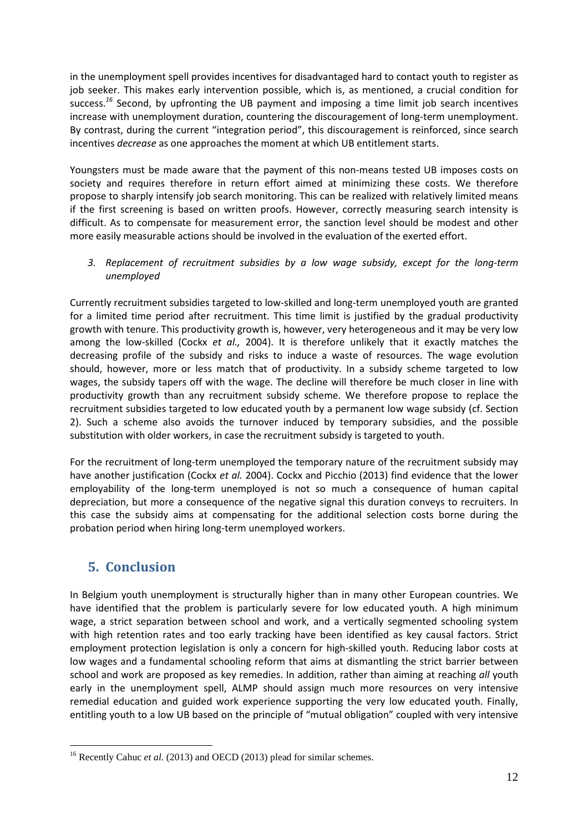in the unemployment spell provides incentives for disadvantaged hard to contact youth to register as job seeker. This makes early intervention possible, which is, as mentioned, a crucial condition for success.*<sup>16</sup>* Second, by upfronting the UB payment and imposing a time limit job search incentives increase with unemployment duration, countering the discouragement of long-term unemployment. By contrast, during the current "integration period", this discouragement is reinforced, since search incentives *decrease* as one approaches the moment at which UB entitlement starts.

Youngsters must be made aware that the payment of this non-means tested UB imposes costs on society and requires therefore in return effort aimed at minimizing these costs. We therefore propose to sharply intensify job search monitoring. This can be realized with relatively limited means if the first screening is based on written proofs. However, correctly measuring search intensity is difficult. As to compensate for measurement error, the sanction level should be modest and other more easily measurable actions should be involved in the evaluation of the exerted effort.

*3. Replacement of recruitment subsidies by a low wage subsidy, except for the long-term unemployed* 

Currently recruitment subsidies targeted to low-skilled and long-term unemployed youth are granted for a limited time period after recruitment. This time limit is justified by the gradual productivity growth with tenure. This productivity growth is, however, very heterogeneous and it may be very low among the low-skilled (Cockx *et al.,* 2004). It is therefore unlikely that it exactly matches the decreasing profile of the subsidy and risks to induce a waste of resources. The wage evolution should, however, more or less match that of productivity. In a subsidy scheme targeted to low wages, the subsidy tapers off with the wage. The decline will therefore be much closer in line with productivity growth than any recruitment subsidy scheme. We therefore propose to replace the recruitment subsidies targeted to low educated youth by a permanent low wage subsidy (cf. Section 2). Such a scheme also avoids the turnover induced by temporary subsidies, and the possible substitution with older workers, in case the recruitment subsidy is targeted to youth.

For the recruitment of long-term unemployed the temporary nature of the recruitment subsidy may have another justification (Cockx *et al.* 2004). Cockx and Picchio (2013) find evidence that the lower employability of the long-term unemployed is not so much a consequence of human capital depreciation, but more a consequence of the negative signal this duration conveys to recruiters. In this case the subsidy aims at compensating for the additional selection costs borne during the probation period when hiring long-term unemployed workers.

### **5. Conclusion**

 $\overline{a}$ 

In Belgium youth unemployment is structurally higher than in many other European countries. We have identified that the problem is particularly severe for low educated youth. A high minimum wage, a strict separation between school and work, and a vertically segmented schooling system with high retention rates and too early tracking have been identified as key causal factors. Strict employment protection legislation is only a concern for high-skilled youth. Reducing labor costs at low wages and a fundamental schooling reform that aims at dismantling the strict barrier between school and work are proposed as key remedies. In addition, rather than aiming at reaching *all* youth early in the unemployment spell, ALMP should assign much more resources on very intensive remedial education and guided work experience supporting the very low educated youth. Finally, entitling youth to a low UB based on the principle of "mutual obligation" coupled with very intensive

<sup>&</sup>lt;sup>16</sup> Recently Cahuc *et al.* (2013) and OECD (2013) plead for similar schemes.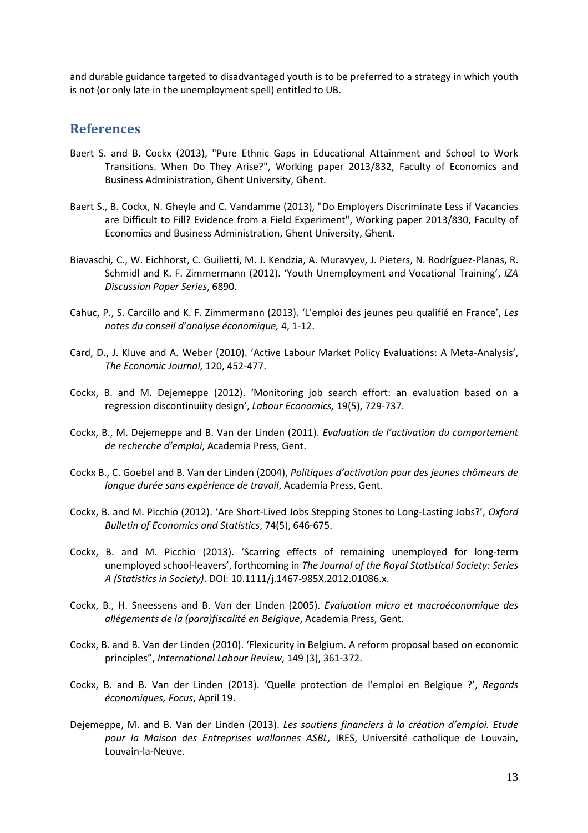and durable guidance targeted to disadvantaged youth is to be preferred to a strategy in which youth is not (or only late in the unemployment spell) entitled to UB.

### **References**

- Baert S. and B. Cockx (2013), "Pure Ethnic Gaps in Educational Attainment and School to Work Transitions. When Do They Arise?", Working paper 2013/832, Faculty of Economics and Business Administration, Ghent University, Ghent.
- Baert S., B. Cockx, N. Gheyle and C. Vandamme (2013), "Do Employers Discriminate Less if Vacancies are Difficult to Fill? Evidence from a Field Experiment", Working paper 2013/830, Faculty of Economics and Business Administration, Ghent University, Ghent.
- Biavaschi*,* C., W. Eichhorst, C. Guilietti, M. J. Kendzia, A. Muravyev, J. Pieters, N. Rodríguez-Planas, R. Schmidl and K. F. Zimmermann (2012). 'Youth Unemployment and Vocational Training', *IZA Discussion Paper Series*, 6890.
- Cahuc, P., S. Carcillo and K. F. Zimmermann (2013). 'L'emploi des jeunes peu qualifié en France', *Les notes du conseil d'analyse économique,* 4, 1-12.
- Card, D., J. Kluve and A. Weber (2010). 'Active Labour Market Policy Evaluations: A Meta-Analysis', *The Economic Journal,* 120, 452-477.
- Cockx, B. and M. Dejemeppe (2012). 'Monitoring job search effort: an evaluation based on a regression discontinuiity design', *Labour Economics,* 19(5), 729-737.
- Cockx, B., M. Dejemeppe and B. Van der Linden (2011). *Evaluation de l'activation du comportement de recherche d'emploi*, Academia Press, Gent.
- Cockx B., C. Goebel and B. Van der Linden (2004), *Politiques d'activation pour des jeunes chômeurs de longue durée sans expérience de travail*, Academia Press, Gent.
- Cockx, B. and M. Picchio (2012). 'Are Short-Lived Jobs Stepping Stones to Long-Lasting Jobs?', *Oxford Bulletin of Economics and Statistics*, 74(5), 646-675.
- Cockx, B. and M. Picchio (2013). 'Scarring effects of remaining unemployed for long-term unemployed school-leavers', forthcoming in *The Journal of the Royal Statistical Society: Series A (Statistics in Society)*. DOI: 10.1111/j.1467-985X.2012.01086.x.
- Cockx, B., H. Sneessens and B. Van der Linden (2005). *Evaluation micro et macroéconomique des allégements de la (para)fiscalité en Belgique*, Academia Press, Gent.
- Cockx, B. and B. Van der Linden (2010). 'Flexicurity in Belgium. A reform proposal based on economic principles", *International Labour Review*, 149 (3), 361-372.
- Cockx, B. and B. Van der Linden (2013). 'Quelle protection de l'emploi en Belgique ?', *Regards économiques, Focus*, April 19.
- Dejemeppe, M. and B. Van der Linden (2013). *Les soutiens financiers à la création d'emploi. Etude pour la Maison des Entreprises wallonnes ASBL,* IRES, Université catholique de Louvain, Louvain-la-Neuve.